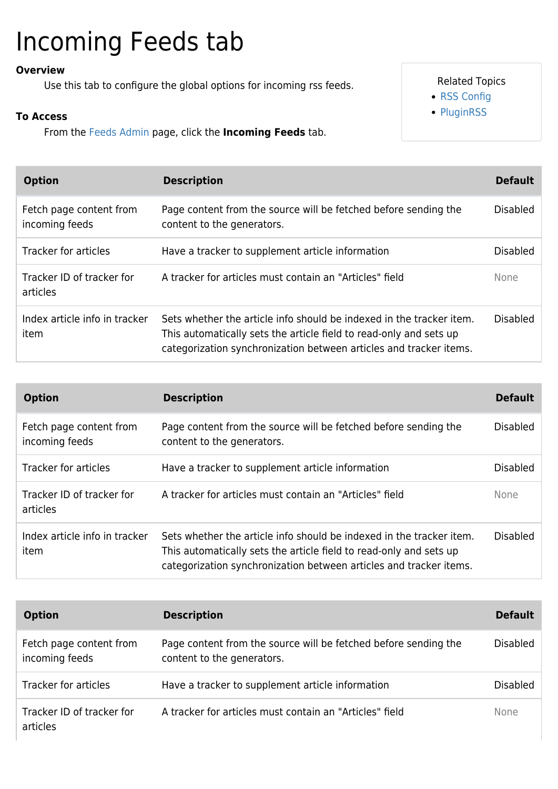## Incoming Feeds tab

## **Overview**

Use this tab to configure the global options for incoming rss feeds.

## **To Access**

From the [Feeds Admin](https://doc.tiki.org/Feeds) page, click the **Incoming Feeds** tab.

## Related Topics

- [RSS Config](https://doc.tiki.org/RSS-Config)
- [PluginRSS](https://doc.tiki.org/PluginRSS)

| <b>Option</b>                             | <b>Description</b>                                                                                                                                                                                               | <b>Default</b>  |
|-------------------------------------------|------------------------------------------------------------------------------------------------------------------------------------------------------------------------------------------------------------------|-----------------|
| Fetch page content from<br>incoming feeds | Page content from the source will be fetched before sending the<br>content to the generators.                                                                                                                    | <b>Disabled</b> |
| <b>Tracker for articles</b>               | Have a tracker to supplement article information                                                                                                                                                                 | <b>Disabled</b> |
| Tracker ID of tracker for<br>articles     | A tracker for articles must contain an "Articles" field                                                                                                                                                          | <b>None</b>     |
| Index article info in tracker<br>item     | Sets whether the article info should be indexed in the tracker item.<br>This automatically sets the article field to read-only and sets up<br>categorization synchronization between articles and tracker items. | <b>Disabled</b> |

| <b>Option</b>                             | <b>Description</b>                                                                                                                                                                                               | <b>Default</b>  |
|-------------------------------------------|------------------------------------------------------------------------------------------------------------------------------------------------------------------------------------------------------------------|-----------------|
| Fetch page content from<br>incoming feeds | Page content from the source will be fetched before sending the<br>content to the generators.                                                                                                                    | <b>Disabled</b> |
| Tracker for articles                      | Have a tracker to supplement article information                                                                                                                                                                 | <b>Disabled</b> |
| Tracker ID of tracker for<br>articles     | A tracker for articles must contain an "Articles" field                                                                                                                                                          | <b>None</b>     |
| Index article info in tracker<br>item     | Sets whether the article info should be indexed in the tracker item.<br>This automatically sets the article field to read-only and sets up<br>categorization synchronization between articles and tracker items. | <b>Disabled</b> |

| <b>Option</b>                             | <b>Description</b>                                                                            | <b>Default</b>  |
|-------------------------------------------|-----------------------------------------------------------------------------------------------|-----------------|
| Fetch page content from<br>incoming feeds | Page content from the source will be fetched before sending the<br>content to the generators. | <b>Disabled</b> |
| Tracker for articles                      | Have a tracker to supplement article information                                              | Disabled        |
| Tracker ID of tracker for<br>articles     | A tracker for articles must contain an "Articles" field                                       | <b>None</b>     |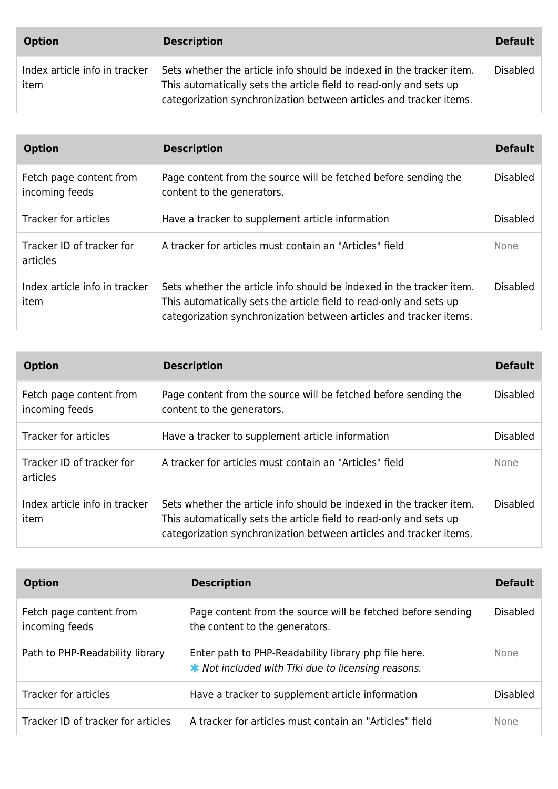| <b>Option</b>                         | <b>Description</b>                                                                                                                                                                                               | <b>Default</b>  |
|---------------------------------------|------------------------------------------------------------------------------------------------------------------------------------------------------------------------------------------------------------------|-----------------|
| Index article info in tracker<br>item | Sets whether the article info should be indexed in the tracker item.<br>This automatically sets the article field to read-only and sets up<br>categorization synchronization between articles and tracker items. | <b>Disabled</b> |

| <b>Option</b>                             | <b>Description</b>                                                                                                                                                                                               | <b>Default</b>  |
|-------------------------------------------|------------------------------------------------------------------------------------------------------------------------------------------------------------------------------------------------------------------|-----------------|
| Fetch page content from<br>incoming feeds | Page content from the source will be fetched before sending the<br>content to the generators.                                                                                                                    | <b>Disabled</b> |
| <b>Tracker for articles</b>               | Have a tracker to supplement article information                                                                                                                                                                 | <b>Disabled</b> |
| Tracker ID of tracker for<br>articles     | A tracker for articles must contain an "Articles" field                                                                                                                                                          | <b>None</b>     |
| Index article info in tracker<br>item     | Sets whether the article info should be indexed in the tracker item.<br>This automatically sets the article field to read-only and sets up<br>categorization synchronization between articles and tracker items. | <b>Disabled</b> |

| <b>Option</b>                             | <b>Description</b>                                                                                                                                                                                               | <b>Default</b>  |
|-------------------------------------------|------------------------------------------------------------------------------------------------------------------------------------------------------------------------------------------------------------------|-----------------|
| Fetch page content from<br>incoming feeds | Page content from the source will be fetched before sending the<br>content to the generators.                                                                                                                    | <b>Disabled</b> |
| <b>Tracker for articles</b>               | Have a tracker to supplement article information                                                                                                                                                                 | <b>Disabled</b> |
| Tracker ID of tracker for<br>articles     | A tracker for articles must contain an "Articles" field                                                                                                                                                          | <b>None</b>     |
| Index article info in tracker<br>item     | Sets whether the article info should be indexed in the tracker item.<br>This automatically sets the article field to read-only and sets up<br>categorization synchronization between articles and tracker items. | <b>Disabled</b> |

| <b>Option</b>                             | <b>Description</b>                                                                                                | <b>Default</b>  |
|-------------------------------------------|-------------------------------------------------------------------------------------------------------------------|-----------------|
| Fetch page content from<br>incoming feeds | Page content from the source will be fetched before sending<br>the content to the generators.                     | <b>Disabled</b> |
| Path to PHP-Readability library           | Enter path to PHP-Readability library php file here.<br><b>★</b> Not included with Tiki due to licensing reasons. | <b>None</b>     |
| <b>Tracker for articles</b>               | Have a tracker to supplement article information                                                                  | <b>Disabled</b> |
| Tracker ID of tracker for articles        | A tracker for articles must contain an "Articles" field                                                           | None            |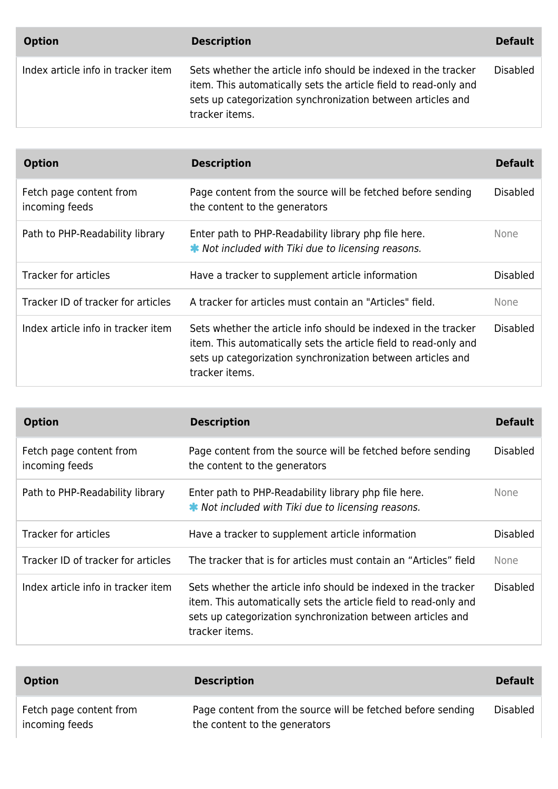| <b>Option</b>                      | <b>Description</b>                                                                                                                                                                                                  | <b>Default</b> |
|------------------------------------|---------------------------------------------------------------------------------------------------------------------------------------------------------------------------------------------------------------------|----------------|
| Index article info in tracker item | Sets whether the article info should be indexed in the tracker<br>item. This automatically sets the article field to read-only and<br>sets up categorization synchronization between articles and<br>tracker items. | Disabled       |

| <b>Option</b>                             | <b>Description</b>                                                                                                                                                                                                  | <b>Default</b>  |
|-------------------------------------------|---------------------------------------------------------------------------------------------------------------------------------------------------------------------------------------------------------------------|-----------------|
| Fetch page content from<br>incoming feeds | Page content from the source will be fetched before sending<br>the content to the generators                                                                                                                        | <b>Disabled</b> |
| Path to PHP-Readability library           | Enter path to PHP-Readability library php file here.<br><b>★</b> Not included with Tiki due to licensing reasons.                                                                                                   | None            |
| <b>Tracker for articles</b>               | Have a tracker to supplement article information                                                                                                                                                                    | <b>Disabled</b> |
| Tracker ID of tracker for articles        | A tracker for articles must contain an "Articles" field.                                                                                                                                                            | <b>None</b>     |
| Index article info in tracker item        | Sets whether the article info should be indexed in the tracker<br>item. This automatically sets the article field to read-only and<br>sets up categorization synchronization between articles and<br>tracker items. | <b>Disabled</b> |

| <b>Option</b>                             | <b>Description</b>                                                                                                                                                                                                  | <b>Default</b>  |
|-------------------------------------------|---------------------------------------------------------------------------------------------------------------------------------------------------------------------------------------------------------------------|-----------------|
| Fetch page content from<br>incoming feeds | Page content from the source will be fetched before sending<br>the content to the generators                                                                                                                        | <b>Disabled</b> |
| Path to PHP-Readability library           | Enter path to PHP-Readability library php file here.<br><b>★</b> Not included with Tiki due to licensing reasons.                                                                                                   | <b>None</b>     |
| <b>Tracker for articles</b>               | Have a tracker to supplement article information                                                                                                                                                                    | <b>Disabled</b> |
| Tracker ID of tracker for articles        | The tracker that is for articles must contain an "Articles" field                                                                                                                                                   | <b>None</b>     |
| Index article info in tracker item        | Sets whether the article info should be indexed in the tracker<br>item. This automatically sets the article field to read-only and<br>sets up categorization synchronization between articles and<br>tracker items. | <b>Disabled</b> |

| <b>Option</b>                             | <b>Description</b>                                                                           | <b>Default</b>  |
|-------------------------------------------|----------------------------------------------------------------------------------------------|-----------------|
| Fetch page content from<br>incoming feeds | Page content from the source will be fetched before sending<br>the content to the generators | <b>Disabled</b> |